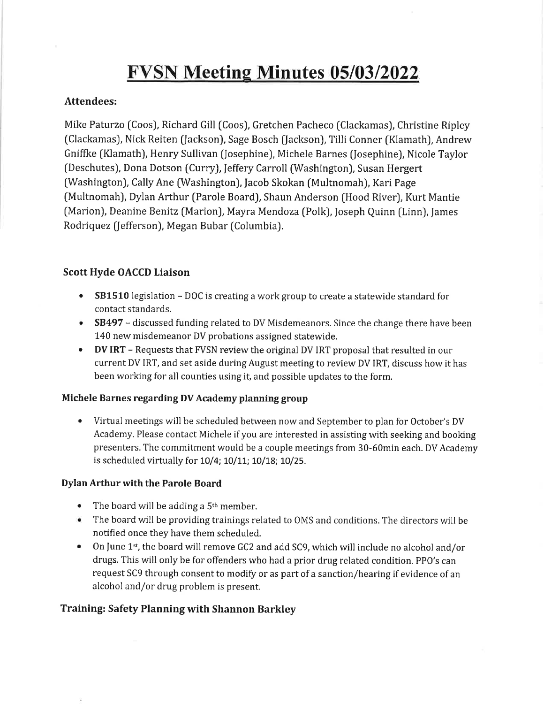# **FVSN Meeting Minutes 05/03/2022**

#### Attendees:

Mike Paturzo (Coos), Richard Gill (Coos), Gretchen Pacheco (Clackamas), Christine Ripley [Clackamas), Nick Reiten (Jackson), Sage Bosch (facksonJ, Tilli Conner (Klamath), Andrew Gniffke (Klamath), Henry Sullivan [Josephine), Michele Barnes (Josephine), Nicole Taylor (Deschutes), Dona Dotson (Curry), Jeffery Carroll (Washington), Susan Hergert (Washington), Cally Ane (Washington), Jacob Skokan (Multnomah), Kari Page (Multnomah), Dylan Arthur (Parole Board), Shaun Anderson (Hood River), Kurt Mantie (Marion), Deanine Benitz (Marion), Mayra Mendoza (Polk), Joseph Quinn (Linn), James Rodriquez (Jefferson), Megan Bubar (Columbia).

### Scott Hyde OACCD Liaison

- $\bullet$   $\;$  SB1510 legislation DOC is creating a work group to create a statewide standard for contact standards.
- $\bullet$  SB497 discussed funding related to DV Misdemeanors. Since the change there have been 140 new misdemeanor DV probations assigned statewide.
- $\bullet$  DV IRT Requests that FVSN review the original DV IRT proposal that resulted in our current DV IRT, and set aside during August meeting to review DV IRT, discuss how it has been working for all counties using it, and possible updates to the form.

#### Michele Barnes regarding DV Academy planning group

Virtual meetings will be scheduled between now and September to plan for October's DV Academy, Please contact Michele if you are interested in assisting with seeking and booking presenters. The commitment would be a couple meetings from 30-60min each. DV Academy is scheduled virtually for 10/4; 10/11; 10/18; 10/25. a

#### Dylan Arthur with the Parole Board

- The board will be adding a 5<sup>th</sup> member
- The board will be providing trainings related to OMS and conditions. The directors will be a notified once they have them scheduled.
- $\bullet$  On June 1st, the board will remove GC2 and add SC9, which will include no alcohol and/or drugs, This will only be for offenders who had a prior drug related condition. PPO's can request SC9 through consent to modify or as part of a sanction/hearing if evidence of an alcohol and/or drug problem is present.

# Training: Safety Planning with Shannon Barkley